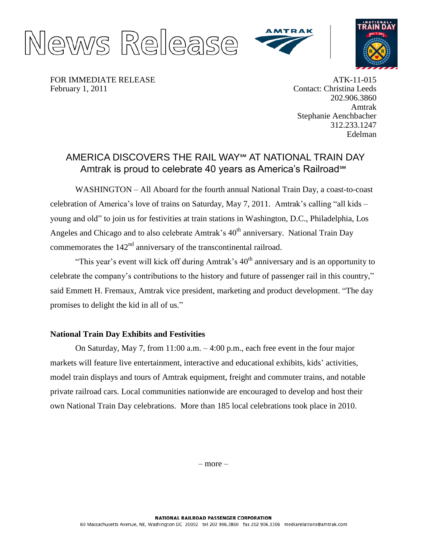





FOR IMMEDIATE RELEASE February 1, 2011

ATK-11-015 Contact: Christina Leeds 202.906.3860 Amtrak Stephanie Aenchbacher 312.233.1247 Edelman

## AMERICA DISCOVERS THE RAIL WAY℠ AT NATIONAL TRAIN DAY Amtrak is proud to celebrate 40 years as America's Railroad℠

WASHINGTON – All Aboard for the fourth annual National Train Day, a coast-to-coast celebration of America's love of trains on Saturday, May 7, 2011. Amtrak's calling "all kids – young and old" to join us for festivities at train stations in Washington, D.C., Philadelphia, Los Angeles and Chicago and to also celebrate Amtrak's  $40<sup>th</sup>$  anniversary. National Train Day commemorates the  $142<sup>nd</sup>$  anniversary of the transcontinental railroad.

"This year's event will kick off during Amtrak's  $40<sup>th</sup>$  anniversary and is an opportunity to celebrate the company's contributions to the history and future of passenger rail in this country," said Emmett H. Fremaux, Amtrak vice president, marketing and product development. "The day promises to delight the kid in all of us."

## **National Train Day Exhibits and Festivities**

On Saturday, May 7, from 11:00 a.m. – 4:00 p.m., each free event in the four major markets will feature live entertainment, interactive and educational exhibits, kids' activities, model train displays and tours of Amtrak equipment, freight and commuter trains, and notable private railroad cars. Local communities nationwide are encouraged to develop and host their own National Train Day celebrations. More than 185 local celebrations took place in 2010.

– more –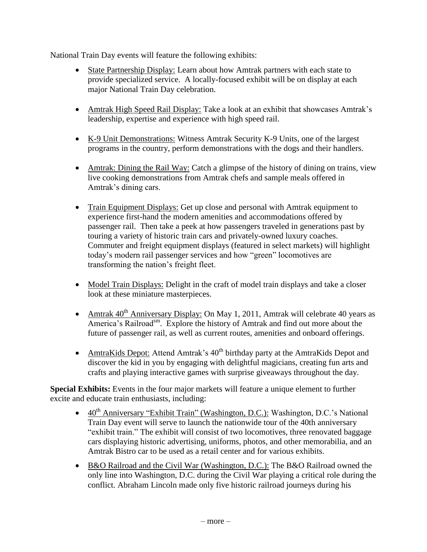National Train Day events will feature the following exhibits:

- State Partnership Display: Learn about how Amtrak partners with each state to provide specialized service. A locally-focused exhibit will be on display at each major National Train Day celebration.
- Amtrak High Speed Rail Display: Take a look at an exhibit that showcases Amtrak's leadership, expertise and experience with high speed rail.
- K-9 Unit Demonstrations: Witness Amtrak Security K-9 Units, one of the largest programs in the country, perform demonstrations with the dogs and their handlers.
- Amtrak: Dining the Rail Way: Catch a glimpse of the history of dining on trains, view live cooking demonstrations from Amtrak chefs and sample meals offered in Amtrak's dining cars.
- Train Equipment Displays: Get up close and personal with Amtrak equipment to experience first-hand the modern amenities and accommodations offered by passenger rail. Then take a peek at how passengers traveled in generations past by touring a variety of historic train cars and privately-owned luxury coaches. Commuter and freight equipment displays (featured in select markets) will highlight today's modern rail passenger services and how "green" locomotives are transforming the nation's freight fleet.
- Model Train Displays: Delight in the craft of model train displays and take a closer look at these miniature masterpieces.
- Amtrak  $40^{th}$  Anniversary Display: On May 1, 2011, Amtrak will celebrate 40 years as America's Railroad<sup>sm</sup>. Explore the history of Amtrak and find out more about the future of passenger rail, as well as current routes, amenities and onboard offerings.
- AmtraKids Depot: Attend Amtrak's  $40<sup>th</sup>$  birthday party at the AmtraKids Depot and discover the kid in you by engaging with delightful magicians, creating fun arts and crafts and playing interactive games with surprise giveaways throughout the day.

**Special Exhibits:** Events in the four major markets will feature a unique element to further excite and educate train enthusiasts, including:

- $\bullet$  40<sup>th</sup> Anniversary "Exhibit Train" (Washington, D.C.): Washington, D.C.'s National Train Day event will serve to launch the nationwide tour of the 40th anniversary "exhibit train." The exhibit will consist of two locomotives, three renovated baggage cars displaying historic advertising, uniforms, photos, and other memorabilia, and an Amtrak Bistro car to be used as a retail center and for various exhibits.
- B&O Railroad and the Civil War (Washington, D.C.): The B&O Railroad owned the only line into Washington, D.C. during the Civil War playing a critical role during the conflict. Abraham Lincoln made only five historic railroad journeys during his